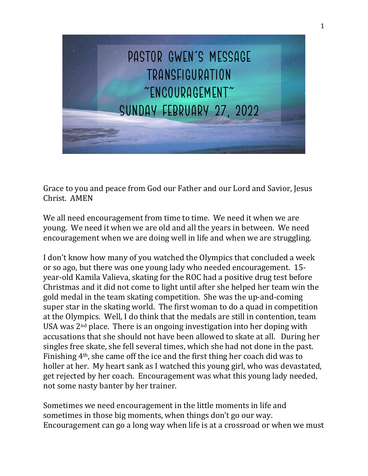

Grace to you and peace from God our Father and our Lord and Savior, Jesus Christ. AMEN

We all need encouragement from time to time. We need it when we are young. We need it when we are old and all the years in between. We need encouragement when we are doing well in life and when we are struggling.

I don't know how many of you watched the Olympics that concluded a week or so ago, but there was one young lady who needed encouragement. 15 year-old Kamila Valieva, skating for the ROC had a positive drug test before Christmas and it did not come to light until after she helped her team win the gold medal in the team skating competition. She was the up-and-coming super star in the skating world. The first woman to do a quad in competition at the Olympics. Well, I do think that the medals are still in contention, team USA was 2nd place. There is an ongoing investigation into her doping with accusations that she should not have been allowed to skate at all. During her singles free skate, she fell several times, which she had not done in the past. Finishing 4th, she came off the ice and the first thing her coach did was to holler at her. My heart sank as I watched this young girl, who was devastated, get rejected by her coach. Encouragement was what this young lady needed, not some nasty banter by her trainer.

Sometimes we need encouragement in the little moments in life and sometimes in those big moments, when things don't go our way. Encouragement can go a long way when life is at a crossroad or when we must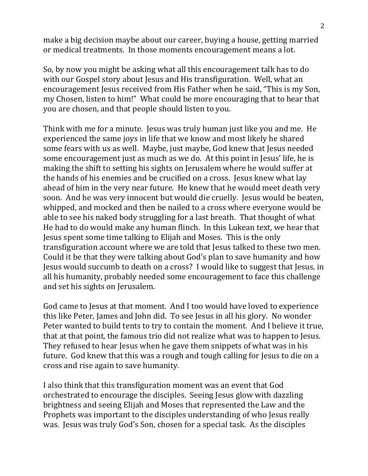make a big decision maybe about our career, buying a house, getting married or medical treatments. In those moments encouragement means a lot.

So, by now you might be asking what all this encouragement talk has to do with our Gospel story about Jesus and His transfiguration. Well, what an encouragement Jesus received from His Father when he said, "This is my Son, my Chosen, listen to him!" What could be more encouraging that to hear that you are chosen, and that people should listen to you.

Think with me for a minute. Jesus was truly human just like you and me. He experienced the same joys in life that we know and most likely he shared some fears with us as well. Maybe, just maybe, God knew that Jesus needed some encouragement just as much as we do. At this point in Jesus' life, he is making the shift to setting his sights on Jerusalem where he would suffer at the hands of his enemies and be crucified on a cross. Jesus knew what lay ahead of him in the very near future. He knew that he would meet death very soon. And he was very innocent but would die cruelly. Jesus would be beaten, whipped, and mocked and then be nailed to a cross where everyone would be able to see his naked body struggling for a last breath. That thought of what He had to do would make any human flinch. In this Lukean text, we hear that Jesus spent some time talking to Elijah and Moses. This is the only transfiguration account where we are told that Jesus talked to these two men. Could it be that they were talking about God's plan to save humanity and how Jesus would succumb to death on a cross? I would like to suggest that Jesus, in all his humanity, probably needed some encouragement to face this challenge and set his sights on Jerusalem.

God came to Jesus at that moment. And I too would have loved to experience this like Peter, James and John did. To see Jesus in all his glory. No wonder Peter wanted to build tents to try to contain the moment. And I believe it true, that at that point, the famous trio did not realize what was to happen to Jesus. They refused to hear Jesus when he gave them snippets of what was in his future. God knew that this was a rough and tough calling for Jesus to die on a cross and rise again to save humanity.

I also think that this transfiguration moment was an event that God orchestrated to encourage the disciples. Seeing Jesus glow with dazzling brightness and seeing Elijah and Moses that represented the Law and the Prophets was important to the disciples understanding of who Jesus really was. Jesus was truly God's Son, chosen for a special task. As the disciples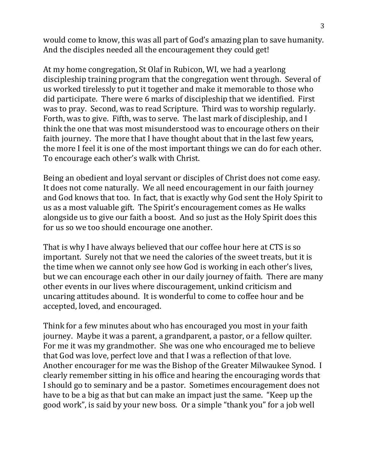would come to know, this was all part of God's amazing plan to save humanity. And the disciples needed all the encouragement they could get!

At my home congregation, St Olaf in Rubicon, WI, we had a yearlong discipleship training program that the congregation went through. Several of us worked tirelessly to put it together and make it memorable to those who did participate. There were 6 marks of discipleship that we identified. First was to pray. Second, was to read Scripture. Third was to worship regularly. Forth, was to give. Fifth, was to serve. The last mark of discipleship, and I think the one that was most misunderstood was to encourage others on their faith journey. The more that I have thought about that in the last few years, the more I feel it is one of the most important things we can do for each other. To encourage each other's walk with Christ.

Being an obedient and loyal servant or disciples of Christ does not come easy. It does not come naturally. We all need encouragement in our faith journey and God knows that too. In fact, that is exactly why God sent the Holy Spirit to us as a most valuable gift. The Spirit's encouragement comes as He walks alongside us to give our faith a boost. And so just as the Holy Spirit does this for us so we too should encourage one another.

That is why I have always believed that our coffee hour here at CTS is so important. Surely not that we need the calories of the sweet treats, but it is the time when we cannot only see how God is working in each other's lives, but we can encourage each other in our daily journey of faith. There are many other events in our lives where discouragement, unkind criticism and uncaring attitudes abound. It is wonderful to come to coffee hour and be accepted, loved, and encouraged.

Think for a few minutes about who has encouraged you most in your faith journey. Maybe it was a parent, a grandparent, a pastor, or a fellow quilter. For me it was my grandmother. She was one who encouraged me to believe that God was love, perfect love and that I was a reflection of that love. Another encourager for me was the Bishop of the Greater Milwaukee Synod. I clearly remember sitting in his office and hearing the encouraging words that I should go to seminary and be a pastor. Sometimes encouragement does not have to be a big as that but can make an impact just the same. "Keep up the good work", is said by your new boss. Or a simple "thank you" for a job well